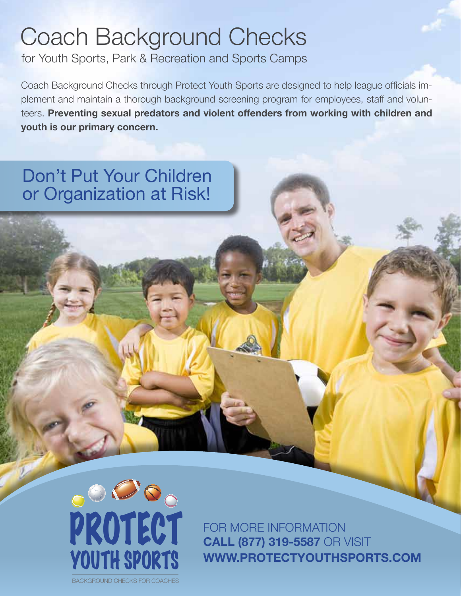## Coach Background Checks

for Youth Sports, Park & Recreation and Sports Camps

Coach Background Checks through Protect Youth Sports are designed to help league officials implement and maintain a thorough background screening program for employees, staff and volunteers. **Preventing sexual predators and violent offenders from working with children and youth is our primary concern.**

## Don't Put Your Children or Organization at Risk!



FOR MORE INFORMATION **Call (877) 319-5587** or Visit **www.Protectyouthsports.com**